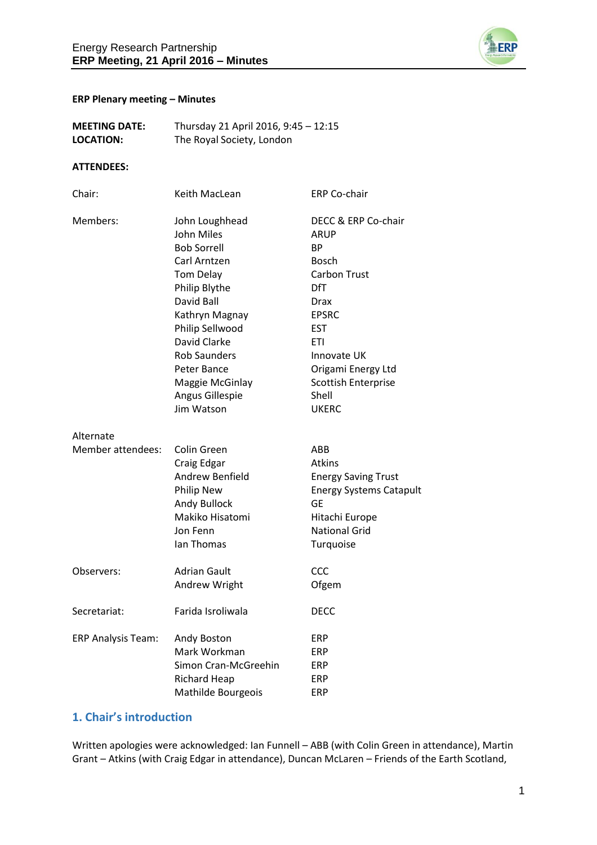

#### **ERP Plenary meeting – Minutes**

| <b>MEETING DATE:</b> | Thursday 21 April 2016, 9:45 - 12:15 |
|----------------------|--------------------------------------|
| LOCATION:            | The Royal Society, London            |

#### **ATTENDEES:**

| Chair:                    | Keith MacLean        | <b>ERP Co-chair</b>            |
|---------------------------|----------------------|--------------------------------|
| Members:                  | John Loughhead       | DECC & ERP Co-chair            |
|                           | John Miles           | ARUP                           |
|                           | <b>Bob Sorrell</b>   | BP                             |
|                           | Carl Arntzen         | Bosch                          |
|                           | <b>Tom Delay</b>     | <b>Carbon Trust</b>            |
|                           | Philip Blythe        | <b>DfT</b>                     |
|                           | David Ball           | <b>Drax</b>                    |
|                           | Kathryn Magnay       | <b>EPSRC</b>                   |
|                           | Philip Sellwood      | <b>EST</b>                     |
|                           | David Clarke         | ETI                            |
|                           | <b>Rob Saunders</b>  | Innovate UK                    |
|                           | Peter Bance          | Origami Energy Ltd             |
|                           | Maggie McGinlay      | <b>Scottish Enterprise</b>     |
|                           | Angus Gillespie      | Shell                          |
|                           | Jim Watson           | <b>UKERC</b>                   |
| Alternate                 |                      |                                |
| Member attendees:         | Colin Green          | ABB                            |
|                           | Craig Edgar          | Atkins                         |
|                           | Andrew Benfield      | <b>Energy Saving Trust</b>     |
|                           | <b>Philip New</b>    | <b>Energy Systems Catapult</b> |
|                           | Andy Bullock         | GЕ                             |
|                           | Makiko Hisatomi      | Hitachi Europe                 |
|                           | Jon Fenn             | <b>National Grid</b>           |
|                           | Ian Thomas           | Turquoise                      |
| Observers:                | Adrian Gault         | CCC                            |
|                           | Andrew Wright        | Ofgem                          |
| Secretariat:              | Farida Isroliwala    | <b>DECC</b>                    |
| <b>ERP Analysis Team:</b> | Andy Boston          | ERP                            |
|                           | Mark Workman         | ERP                            |
|                           | Simon Cran-McGreehin | ERP                            |
|                           | <b>Richard Heap</b>  | ERP                            |
|                           | Mathilde Bourgeois   | ERP                            |
|                           |                      |                                |

## **1. Chair's introduction**

Written apologies were acknowledged: Ian Funnell – ABB (with Colin Green in attendance), Martin Grant – Atkins (with Craig Edgar in attendance), Duncan McLaren – Friends of the Earth Scotland,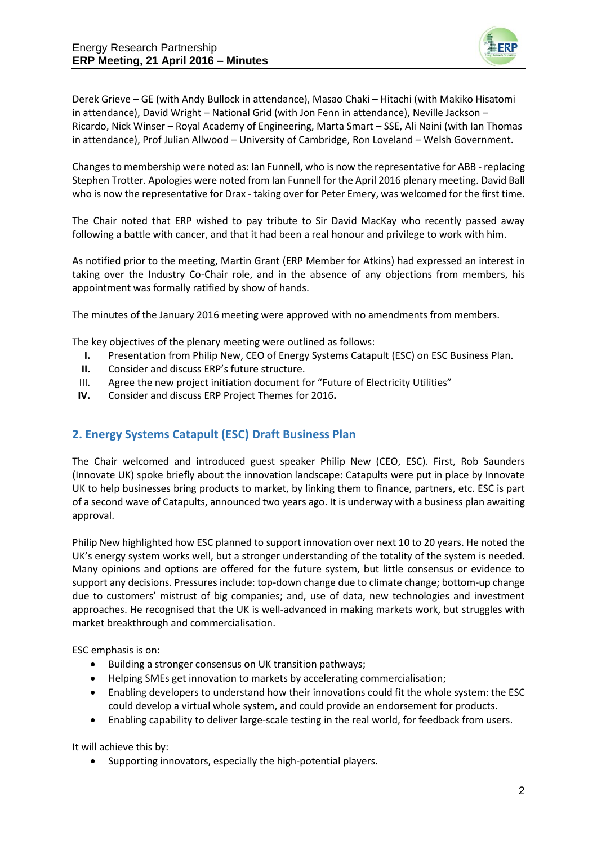

Derek Grieve – GE (with Andy Bullock in attendance), Masao Chaki – Hitachi (with Makiko Hisatomi in attendance), David Wright – National Grid (with Jon Fenn in attendance), Neville Jackson – Ricardo, Nick Winser – Royal Academy of Engineering, Marta Smart – SSE, Ali Naini (with Ian Thomas in attendance), Prof Julian Allwood – University of Cambridge, Ron Loveland – Welsh Government.

Changes to membership were noted as: Ian Funnell, who is now the representative for ABB - replacing Stephen Trotter. Apologies were noted from Ian Funnell for the April 2016 plenary meeting. David Ball who is now the representative for Drax - taking over for Peter Emery, was welcomed for the first time.

The Chair noted that ERP wished to pay tribute to Sir David MacKay who recently passed away following a battle with cancer, and that it had been a real honour and privilege to work with him.

As notified prior to the meeting, Martin Grant (ERP Member for Atkins) had expressed an interest in taking over the Industry Co-Chair role, and in the absence of any objections from members, his appointment was formally ratified by show of hands.

The minutes of the January 2016 meeting were approved with no amendments from members.

The key objectives of the plenary meeting were outlined as follows:

- **I.** Presentation from Philip New, CEO of Energy Systems Catapult (ESC) on ESC Business Plan.
- **II.** Consider and discuss ERP's future structure.
- III. Agree the new project initiation document for "Future of Electricity Utilities"
- **IV.** Consider and discuss ERP Project Themes for 2016**.**

# **2. Energy Systems Catapult (ESC) Draft Business Plan**

The Chair welcomed and introduced guest speaker Philip New (CEO, ESC). First, Rob Saunders (Innovate UK) spoke briefly about the innovation landscape: Catapults were put in place by Innovate UK to help businesses bring products to market, by linking them to finance, partners, etc. ESC is part of a second wave of Catapults, announced two years ago. It is underway with a business plan awaiting approval.

Philip New highlighted how ESC planned to support innovation over next 10 to 20 years. He noted the UK's energy system works well, but a stronger understanding of the totality of the system is needed. Many opinions and options are offered for the future system, but little consensus or evidence to support any decisions. Pressures include: top-down change due to climate change; bottom-up change due to customers' mistrust of big companies; and, use of data, new technologies and investment approaches. He recognised that the UK is well-advanced in making markets work, but struggles with market breakthrough and commercialisation.

ESC emphasis is on:

- Building a stronger consensus on UK transition pathways;
- Helping SMEs get innovation to markets by accelerating commercialisation;
- Enabling developers to understand how their innovations could fit the whole system: the ESC could develop a virtual whole system, and could provide an endorsement for products.
- Enabling capability to deliver large-scale testing in the real world, for feedback from users.

It will achieve this by:

Supporting innovators, especially the high-potential players.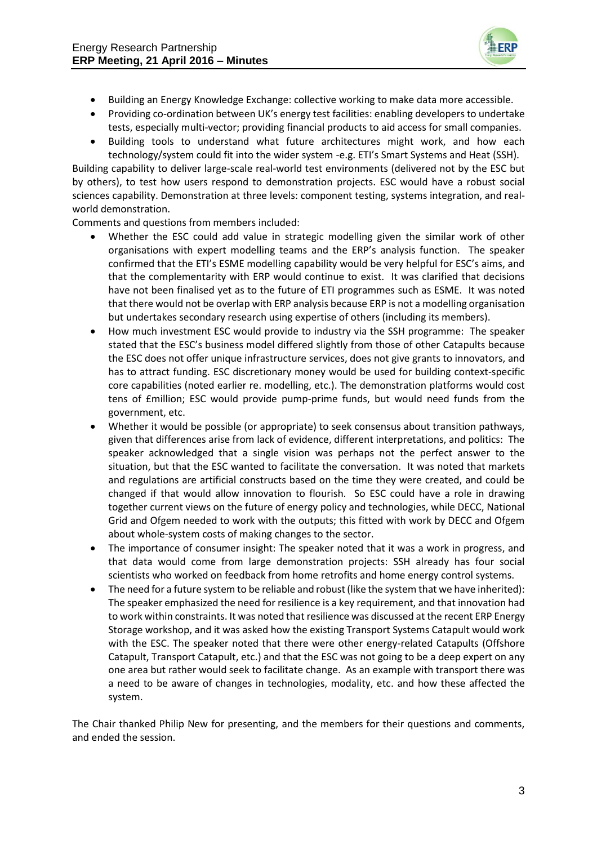

- Building an Energy Knowledge Exchange: collective working to make data more accessible.
- Providing co-ordination between UK's energy test facilities: enabling developers to undertake tests, especially multi-vector; providing financial products to aid access for small companies.
- Building tools to understand what future architectures might work, and how each technology/system could fit into the wider system -e.g. ETI's Smart Systems and Heat (SSH).

Building capability to deliver large-scale real-world test environments (delivered not by the ESC but by others), to test how users respond to demonstration projects. ESC would have a robust social sciences capability. Demonstration at three levels: component testing, systems integration, and realworld demonstration.

Comments and questions from members included:

- Whether the ESC could add value in strategic modelling given the similar work of other organisations with expert modelling teams and the ERP's analysis function. The speaker confirmed that the ETI's ESME modelling capability would be very helpful for ESC's aims, and that the complementarity with ERP would continue to exist. It was clarified that decisions have not been finalised yet as to the future of ETI programmes such as ESME. It was noted that there would not be overlap with ERP analysis because ERP is not a modelling organisation but undertakes secondary research using expertise of others (including its members).
- How much investment ESC would provide to industry via the SSH programme: The speaker stated that the ESC's business model differed slightly from those of other Catapults because the ESC does not offer unique infrastructure services, does not give grants to innovators, and has to attract funding. ESC discretionary money would be used for building context-specific core capabilities (noted earlier re. modelling, etc.). The demonstration platforms would cost tens of £million; ESC would provide pump-prime funds, but would need funds from the government, etc.
- Whether it would be possible (or appropriate) to seek consensus about transition pathways, given that differences arise from lack of evidence, different interpretations, and politics: The speaker acknowledged that a single vision was perhaps not the perfect answer to the situation, but that the ESC wanted to facilitate the conversation. It was noted that markets and regulations are artificial constructs based on the time they were created, and could be changed if that would allow innovation to flourish. So ESC could have a role in drawing together current views on the future of energy policy and technologies, while DECC, National Grid and Ofgem needed to work with the outputs; this fitted with work by DECC and Ofgem about whole-system costs of making changes to the sector.
- The importance of consumer insight: The speaker noted that it was a work in progress, and that data would come from large demonstration projects: SSH already has four social scientists who worked on feedback from home retrofits and home energy control systems.
- The need for a future system to be reliable and robust (like the system that we have inherited): The speaker emphasized the need for resilience is a key requirement, and that innovation had to work within constraints. It was noted that resilience was discussed at the recent ERP Energy Storage workshop, and it was asked how the existing Transport Systems Catapult would work with the ESC. The speaker noted that there were other energy-related Catapults (Offshore Catapult, Transport Catapult, etc.) and that the ESC was not going to be a deep expert on any one area but rather would seek to facilitate change. As an example with transport there was a need to be aware of changes in technologies, modality, etc. and how these affected the system.

The Chair thanked Philip New for presenting, and the members for their questions and comments, and ended the session.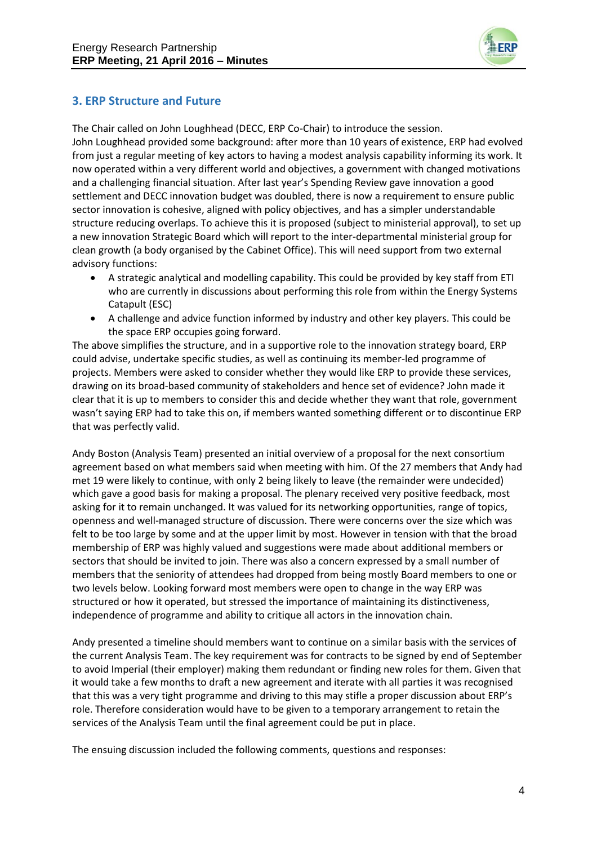

## **3. ERP Structure and Future**

The Chair called on John Loughhead (DECC, ERP Co-Chair) to introduce the session. John Loughhead provided some background: after more than 10 years of existence, ERP had evolved from just a regular meeting of key actors to having a modest analysis capability informing its work. It now operated within a very different world and objectives, a government with changed motivations and a challenging financial situation. After last year's Spending Review gave innovation a good settlement and DECC innovation budget was doubled, there is now a requirement to ensure public sector innovation is cohesive, aligned with policy objectives, and has a simpler understandable structure reducing overlaps. To achieve this it is proposed (subject to ministerial approval), to set up a new innovation Strategic Board which will report to the inter-departmental ministerial group for clean growth (a body organised by the Cabinet Office). This will need support from two external advisory functions:

- A strategic analytical and modelling capability. This could be provided by key staff from ETI who are currently in discussions about performing this role from within the Energy Systems Catapult (ESC)
- A challenge and advice function informed by industry and other key players. This could be the space ERP occupies going forward.

The above simplifies the structure, and in a supportive role to the innovation strategy board, ERP could advise, undertake specific studies, as well as continuing its member-led programme of projects. Members were asked to consider whether they would like ERP to provide these services, drawing on its broad-based community of stakeholders and hence set of evidence? John made it clear that it is up to members to consider this and decide whether they want that role, government wasn't saying ERP had to take this on, if members wanted something different or to discontinue ERP that was perfectly valid.

Andy Boston (Analysis Team) presented an initial overview of a proposal for the next consortium agreement based on what members said when meeting with him. Of the 27 members that Andy had met 19 were likely to continue, with only 2 being likely to leave (the remainder were undecided) which gave a good basis for making a proposal. The plenary received very positive feedback, most asking for it to remain unchanged. It was valued for its networking opportunities, range of topics, openness and well-managed structure of discussion. There were concerns over the size which was felt to be too large by some and at the upper limit by most. However in tension with that the broad membership of ERP was highly valued and suggestions were made about additional members or sectors that should be invited to join. There was also a concern expressed by a small number of members that the seniority of attendees had dropped from being mostly Board members to one or two levels below. Looking forward most members were open to change in the way ERP was structured or how it operated, but stressed the importance of maintaining its distinctiveness, independence of programme and ability to critique all actors in the innovation chain.

Andy presented a timeline should members want to continue on a similar basis with the services of the current Analysis Team. The key requirement was for contracts to be signed by end of September to avoid Imperial (their employer) making them redundant or finding new roles for them. Given that it would take a few months to draft a new agreement and iterate with all parties it was recognised that this was a very tight programme and driving to this may stifle a proper discussion about ERP's role. Therefore consideration would have to be given to a temporary arrangement to retain the services of the Analysis Team until the final agreement could be put in place.

The ensuing discussion included the following comments, questions and responses: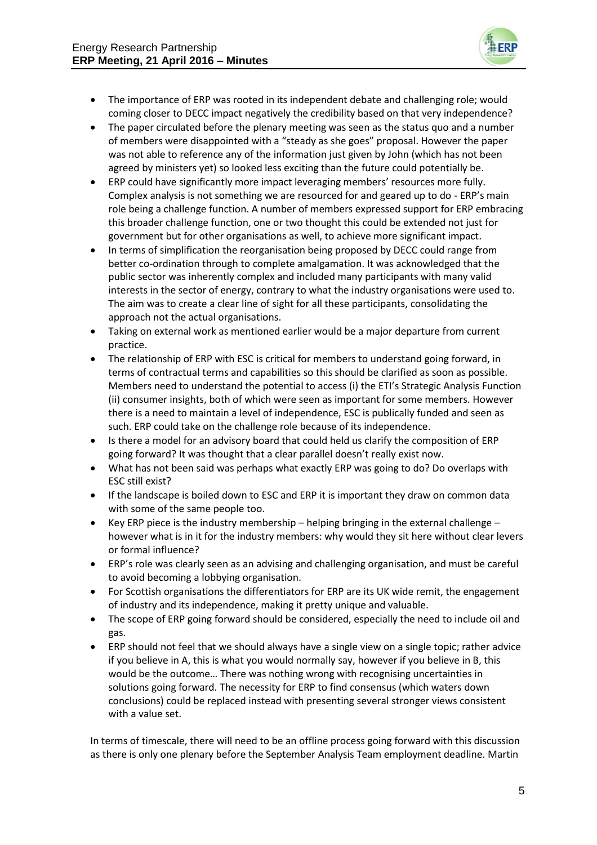

- The importance of ERP was rooted in its independent debate and challenging role; would coming closer to DECC impact negatively the credibility based on that very independence?
- The paper circulated before the plenary meeting was seen as the status quo and a number of members were disappointed with a "steady as she goes" proposal. However the paper was not able to reference any of the information just given by John (which has not been agreed by ministers yet) so looked less exciting than the future could potentially be.
- ERP could have significantly more impact leveraging members' resources more fully. Complex analysis is not something we are resourced for and geared up to do - ERP's main role being a challenge function. A number of members expressed support for ERP embracing this broader challenge function, one or two thought this could be extended not just for government but for other organisations as well, to achieve more significant impact.
- In terms of simplification the reorganisation being proposed by DECC could range from better co-ordination through to complete amalgamation. It was acknowledged that the public sector was inherently complex and included many participants with many valid interests in the sector of energy, contrary to what the industry organisations were used to. The aim was to create a clear line of sight for all these participants, consolidating the approach not the actual organisations.
- Taking on external work as mentioned earlier would be a major departure from current practice.
- The relationship of ERP with ESC is critical for members to understand going forward, in terms of contractual terms and capabilities so this should be clarified as soon as possible. Members need to understand the potential to access (i) the ETI's Strategic Analysis Function (ii) consumer insights, both of which were seen as important for some members. However there is a need to maintain a level of independence, ESC is publically funded and seen as such. ERP could take on the challenge role because of its independence.
- Is there a model for an advisory board that could held us clarify the composition of ERP going forward? It was thought that a clear parallel doesn't really exist now.
- What has not been said was perhaps what exactly ERP was going to do? Do overlaps with ESC still exist?
- If the landscape is boiled down to ESC and ERP it is important they draw on common data with some of the same people too.
- ERP piece is the industry membership helping bringing in the external challenge however what is in it for the industry members: why would they sit here without clear levers or formal influence?
- ERP's role was clearly seen as an advising and challenging organisation, and must be careful to avoid becoming a lobbying organisation.
- For Scottish organisations the differentiators for ERP are its UK wide remit, the engagement of industry and its independence, making it pretty unique and valuable.
- The scope of ERP going forward should be considered, especially the need to include oil and gas.
- ERP should not feel that we should always have a single view on a single topic; rather advice if you believe in A, this is what you would normally say, however if you believe in B, this would be the outcome… There was nothing wrong with recognising uncertainties in solutions going forward. The necessity for ERP to find consensus (which waters down conclusions) could be replaced instead with presenting several stronger views consistent with a value set.

In terms of timescale, there will need to be an offline process going forward with this discussion as there is only one plenary before the September Analysis Team employment deadline. Martin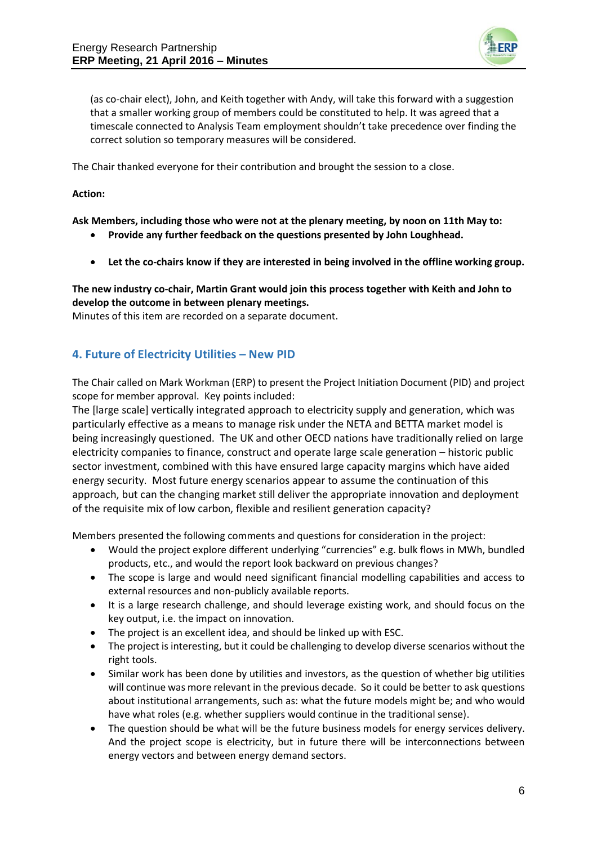

(as co-chair elect), John, and Keith together with Andy, will take this forward with a suggestion that a smaller working group of members could be constituted to help. It was agreed that a timescale connected to Analysis Team employment shouldn't take precedence over finding the correct solution so temporary measures will be considered.

The Chair thanked everyone for their contribution and brought the session to a close.

#### **Action:**

**Ask Members, including those who were not at the plenary meeting, by noon on 11th May to:**

- **Provide any further feedback on the questions presented by John Loughhead.**
- **Let the co-chairs know if they are interested in being involved in the offline working group.**

### **The new industry co-chair, Martin Grant would join this process together with Keith and John to develop the outcome in between plenary meetings.**

Minutes of this item are recorded on a separate document.

## **4. Future of Electricity Utilities – New PID**

The Chair called on Mark Workman (ERP) to present the Project Initiation Document (PID) and project scope for member approval. Key points included:

The [large scale] vertically integrated approach to electricity supply and generation, which was particularly effective as a means to manage risk under the NETA and BETTA market model is being increasingly questioned. The UK and other OECD nations have traditionally relied on large electricity companies to finance, construct and operate large scale generation – historic public sector investment, combined with this have ensured large capacity margins which have aided energy security. Most future energy scenarios appear to assume the continuation of this approach, but can the changing market still deliver the appropriate innovation and deployment of the requisite mix of low carbon, flexible and resilient generation capacity?

Members presented the following comments and questions for consideration in the project:

- Would the project explore different underlying "currencies" e.g. bulk flows in MWh, bundled products, etc., and would the report look backward on previous changes?
- The scope is large and would need significant financial modelling capabilities and access to external resources and non-publicly available reports.
- It is a large research challenge, and should leverage existing work, and should focus on the key output, i.e. the impact on innovation.
- The project is an excellent idea, and should be linked up with ESC.
- The project is interesting, but it could be challenging to develop diverse scenarios without the right tools.
- Similar work has been done by utilities and investors, as the question of whether big utilities will continue was more relevant in the previous decade. So it could be better to ask questions about institutional arrangements, such as: what the future models might be; and who would have what roles (e.g. whether suppliers would continue in the traditional sense).
- The question should be what will be the future business models for energy services delivery. And the project scope is electricity, but in future there will be interconnections between energy vectors and between energy demand sectors.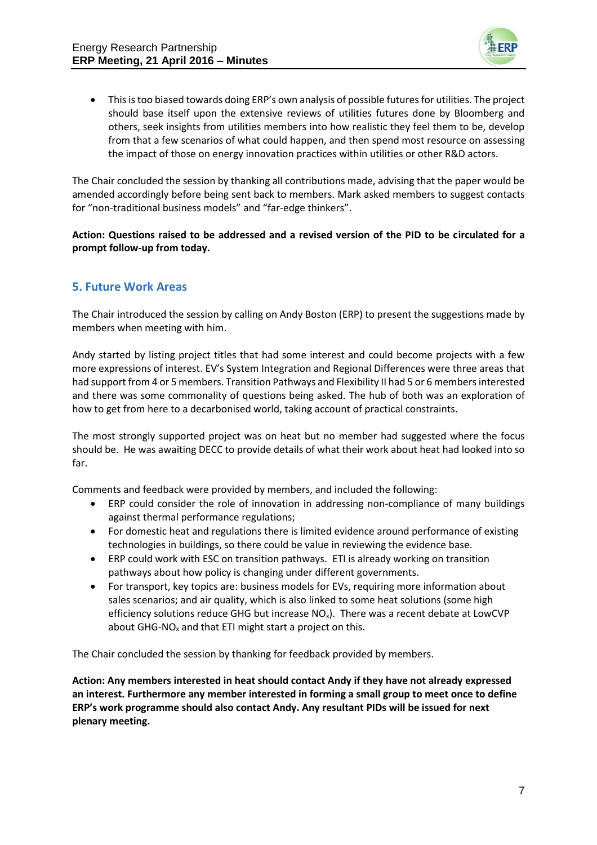

 This is too biased towards doing ERP's own analysis of possible futures for utilities. The project should base itself upon the extensive reviews of utilities futures done by Bloomberg and others, seek insights from utilities members into how realistic they feel them to be, develop from that a few scenarios of what could happen, and then spend most resource on assessing the impact of those on energy innovation practices within utilities or other R&D actors.

The Chair concluded the session by thanking all contributions made, advising that the paper would be amended accordingly before being sent back to members. Mark asked members to suggest contacts for "non-traditional business models" and "far-edge thinkers".

### **Action: Questions raised to be addressed and a revised version of the PID to be circulated for a prompt follow-up from today.**

### **5. Future Work Areas**

The Chair introduced the session by calling on Andy Boston (ERP) to present the suggestions made by members when meeting with him.

Andy started by listing project titles that had some interest and could become projects with a few more expressions of interest. EV's System Integration and Regional Differences were three areas that had support from 4 or 5 members. Transition Pathways and Flexibility II had 5 or 6 members interested and there was some commonality of questions being asked. The hub of both was an exploration of how to get from here to a decarbonised world, taking account of practical constraints.

The most strongly supported project was on heat but no member had suggested where the focus should be. He was awaiting DECC to provide details of what their work about heat had looked into so far.

Comments and feedback were provided by members, and included the following:

- ERP could consider the role of innovation in addressing non-compliance of many buildings against thermal performance regulations;
- For domestic heat and regulations there is limited evidence around performance of existing technologies in buildings, so there could be value in reviewing the evidence base.
- ERP could work with ESC on transition pathways. ETI is already working on transition pathways about how policy is changing under different governments.
- For transport, key topics are: business models for EVs, requiring more information about sales scenarios; and air quality, which is also linked to some heat solutions (some high efficiency solutions reduce GHG but increase  $NO<sub>x</sub>$ ). There was a recent debate at LowCVP about GHG-NO<sub>x</sub> and that ETI might start a project on this.

The Chair concluded the session by thanking for feedback provided by members.

**Action: Any members interested in heat should contact Andy if they have not already expressed an interest. Furthermore any member interested in forming a small group to meet once to define ERP's work programme should also contact Andy. Any resultant PIDs will be issued for next plenary meeting.**